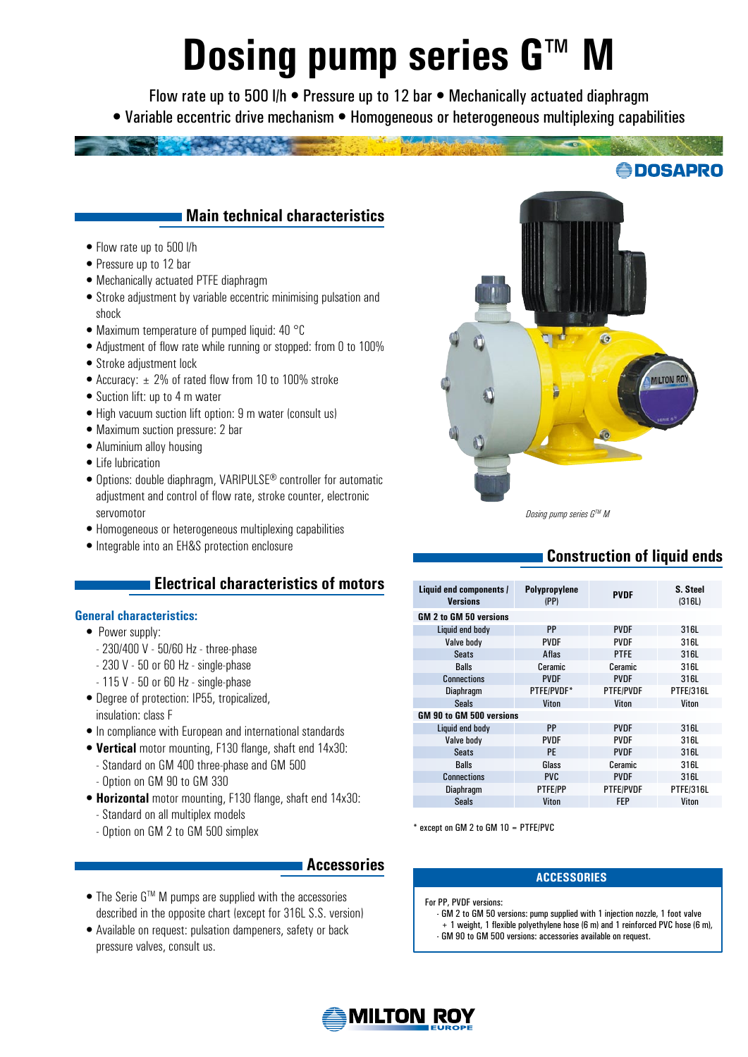# **Dosing pump series G™ M**

Flow rate up to 500 l/h • Pressure up to 12 bar • Mechanically actuated diaphragm • Variable eccentric drive mechanism • Homogeneous or heterogeneous multiplexing capabilities



- Flow rate up to 500 l/h
- Pressure up to 12 bar
- •Mechanically actuated PTFE diaphragm
- •Stroke adjustment by variable eccentric minimising pulsation and shock
- Maximum temperature of pumped liquid: 40 °C
- •Adjustment of flow rate while running or stopped: from 0 to 100%
- •Stroke adjustment lock
- Accuracy:  $\pm$  2% of rated flow from 10 to 100% stroke
- Suction lift: up to 4 m water
- •High vacuum suction lift option: 9 m water (consult us)
- •Maximum suction pressure: 2 bar
- •Aluminium alloy housing
- •Life lubrication
- •Options: double diaphragm, VARIPULSE® controller for automatic adjustment and control of flow rate, stroke counter, electronic servomotor
- •Homogeneous or heterogeneous multiplexing capabilities
- •Integrable into an EH&S protection enclosure

# **Electrical characteristics of motors**

### **General characteristics:**

- Power supply:
	- 230/400 V 50/60 Hz three-phase
	- 230 V 50 or 60 Hz single-phase
	- 115 V 50 or 60 Hz single-phase
- •Degree of protection: IP55, tropicalized, insulation: class F
- •In compliance with European and international standards
- •**Vertical** motor mounting, F130 flange, shaft end 14x30: - Standard on GM 400 three-phase and GM 500
	- Option on GM 90 to GM 330
- •**Horizontal** motor mounting, F130 flange, shaft end 14x30:
	- Standard on all multiplex models
	- Option on GM 2 to GM 500 simplex

## **Accessories**

- The Serie G<sup>TM</sup> M pumps are supplied with the accessories described in the opposite chart (except for 316L S.S. version)
- •Available on request: pulsation dampeners, safety or back pressure valves, consult us.



#### *Dosing pump series GTM M*

# **Construction of liquid ends**

**DOSAPRO** 

| Liquid end components /<br><b>Versions</b> | Polypropylene<br>(PP) | <b>PVDF</b>    | S. Steel<br>(316L) |  |
|--------------------------------------------|-----------------------|----------------|--------------------|--|
| GM 2 to GM 50 versions                     |                       |                |                    |  |
| Liquid end body                            | <b>PP</b>             | <b>PVDF</b>    | 316L               |  |
| Valve body                                 | <b>PVDF</b>           | <b>PVDF</b>    | 316L               |  |
| <b>Seats</b>                               | Aflas                 | <b>PTFE</b>    | 316L               |  |
| <b>Balls</b>                               | Ceramic               | <b>Ceramic</b> | 316L               |  |
| <b>Connections</b>                         | <b>PVDF</b>           | <b>PVDF</b>    | 316L               |  |
| <b>Diaphragm</b>                           | PTFE/PVDF*            | PTFE/PVDF      | PTFE/316L          |  |
| <b>Seals</b>                               | Viton                 | Viton          | Viton              |  |
| GM 90 to GM 500 versions                   |                       |                |                    |  |
| Liquid end body                            | <b>PP</b>             | <b>PVDF</b>    | 316L               |  |
| Valve body                                 | <b>PVDF</b>           | <b>PVDF</b>    | 316L               |  |
| <b>Seats</b>                               | PF                    | <b>PVDF</b>    | 316L               |  |
| <b>Balls</b>                               | Glass                 | <b>Ceramic</b> | 316L               |  |
| <b>Connections</b>                         | <b>PVC</b>            | <b>PVDF</b>    | 316L               |  |
| <b>Diaphragm</b>                           | <b>PTFE/PP</b>        | PTFE/PVDF      | PTFE/316L          |  |
| <b>Seals</b>                               | Viton                 | <b>FEP</b>     | Viton              |  |

\* except on GM 2 to GM 10 = PTFE/PVC

### **AccessorIes**

- For PP, PVDF versions:
	- GM 2 to GM 50 versions: pump supplied with 1 injection nozzle, 1 foot valve + 1 weight, 1 flexible polyethylene hose (6 m) and 1 reinforced PVC hose (6 m), - GM 90 to GM 500 versions: accessories available on request.

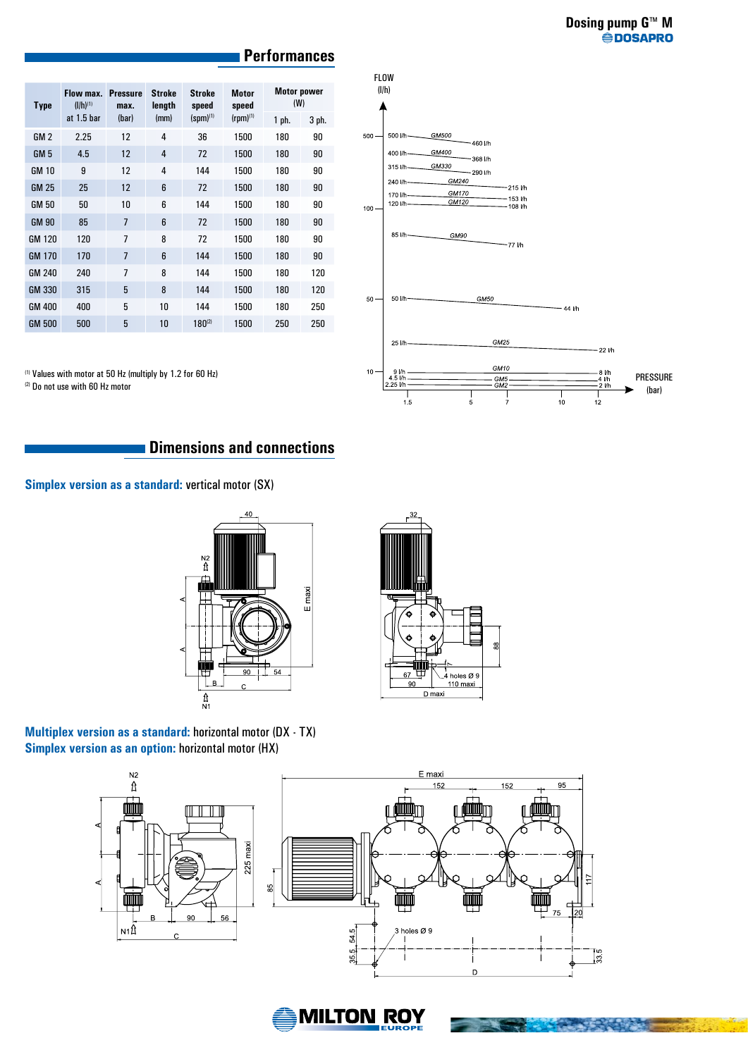| <b>Type</b>     | Flow max.<br>$(I/h)^{(1)}$ | <b>Pressure</b><br>max. | <b>Stroke</b><br>length | <b>Stroke</b><br>speed | <b>Motor</b><br>speed | <b>Motor power</b><br>(W) |       |
|-----------------|----------------------------|-------------------------|-------------------------|------------------------|-----------------------|---------------------------|-------|
|                 | at $1.5$ bar               | (har)                   | (mm)                    | $(spm)^{(1)}$          | $(rpm)^{(1)}$         | 1 ph.                     | 3 ph. |
| GM <sub>2</sub> | 2.25                       | 12                      | 4                       | 36                     | 1500                  | 180                       | 90    |
| GM <sub>5</sub> | 4.5                        | 12                      | $\overline{4}$          | 72                     | 1500                  | 180                       | 90    |
| <b>GM 10</b>    | 9                          | 12                      | $\overline{4}$          | 144                    | 1500                  | 180                       | 90    |
| <b>GM 25</b>    | 25                         | 12                      | 6                       | 72                     | 1500                  | 180                       | 90    |
| <b>GM 50</b>    | 50                         | 10                      | 6                       | 144                    | 1500                  | 180                       | 90    |
| <b>GM 90</b>    | 85                         | $\overline{7}$          | 6                       | 72                     | 1500                  | 180                       | 90    |
| <b>GM 120</b>   | 120                        | $\overline{7}$          | 8                       | 72                     | 1500                  | 180                       | 90    |
| <b>GM 170</b>   | 170                        | $\overline{7}$          | 6                       | 144                    | 1500                  | 180                       | 90    |
| <b>GM 240</b>   | 240                        | $\overline{7}$          | 8                       | 144                    | 1500                  | 180                       | 120   |
| <b>GM 330</b>   | 315                        | 5                       | 8                       | 144                    | 1500                  | 180                       | 120   |
| <b>GM 400</b>   | 400                        | 5                       | 10                      | 144                    | 1500                  | 180                       | 250   |
| <b>GM 500</b>   | 500                        | 5                       | 10                      | $180^{(2)}$            | 1500                  | 250                       | 250   |

## **Performances**

FLOW (l/h)

500 //

500

GM500

-460 l/h



(1) Values with motor at 50 Hz (multiply by 1.2 for 60 Hz)

(2) Do not use with 60 Hz motor

## **Dimensions and connections**

#### **Simplex version as a standard:** vertical motor (SX)





**Multiplex version as a standard:** horizontal motor (DX - TX) **Simplex version as an option:** horizontal motor (HX)



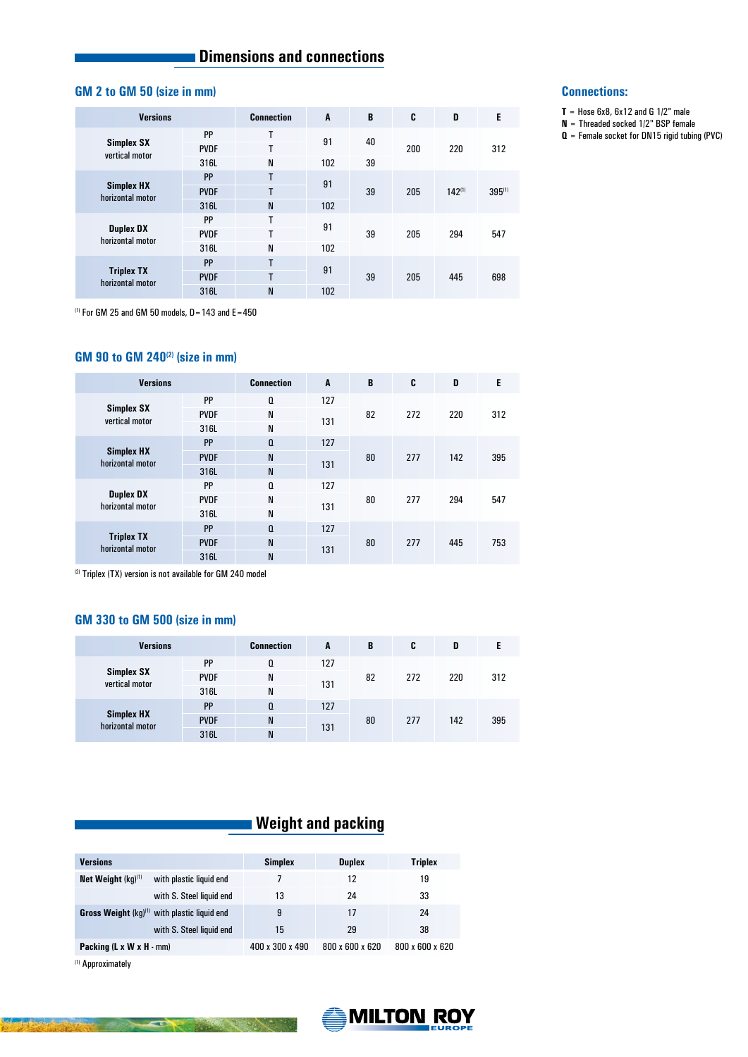# **Example 3** Dimensions and connections

## **GM 2 to GM 50 (size in mm)**

|  | <b>Versions</b>                       |             | <b>Connection</b> | A         | B  | C   | D           | E      |
|--|---------------------------------------|-------------|-------------------|-----------|----|-----|-------------|--------|
|  |                                       | PP          | T                 | 91        | 40 | 200 | 220         | 312    |
|  | Simplex SX<br>vertical motor          | <b>PVDF</b> | T                 |           |    |     |             |        |
|  |                                       | 316L        | N                 | 102       | 39 |     |             |        |
|  |                                       | PP          | т                 |           |    |     |             |        |
|  | <b>Simplex HX</b><br>horizontal motor | <b>PVDF</b> | т                 | 91        | 39 | 205 | $142^{(1)}$ | 395(1) |
|  |                                       | 316L        | N                 | 102       |    |     |             |        |
|  | <b>Duplex DX</b><br>horizontal motor  | PP          | т                 | 91        | 39 | 205 | 294         | 547    |
|  |                                       | <b>PVDF</b> | T                 |           |    |     |             |        |
|  |                                       | 316L        | N                 | 102       |    |     |             |        |
|  | <b>Triplex TX</b><br>horizontal motor | PP          | T                 | 91<br>102 | 39 | 205 | 445         | 698    |
|  |                                       | <b>PVDF</b> | т                 |           |    |     |             |        |
|  |                                       | 316L        | N                 |           |    |     |             |        |

 $(1)$  For GM 25 and GM 50 models, D = 143 and E = 450

## **GM 90 to GM 240(2) (size in mm)**

| <b>Versions</b>                       |             | <b>Connection</b> | A   | B        | C          | D          | E          |
|---------------------------------------|-------------|-------------------|-----|----------|------------|------------|------------|
| Simplex SX<br>vertical motor          | PP          | O                 | 127 | 82       | 272        | 220        | 312        |
|                                       | <b>PVDF</b> | N                 | 131 |          |            |            |            |
|                                       | 316L        | N                 |     |          |            |            |            |
|                                       | PP          | Q                 | 127 |          |            |            |            |
| <b>Simplex HX</b><br>horizontal motor | <b>PVDF</b> | N                 | 131 | 80<br>80 | 277<br>277 | 142<br>294 | 395<br>547 |
|                                       | 316L        | N                 |     |          |            |            |            |
|                                       | PP          | $\mathbf{0}$      | 127 |          |            |            |            |
| <b>Duplex DX</b><br>horizontal motor  | <b>PVDF</b> | N                 | 131 |          |            |            |            |
|                                       | 316L        | N                 |     |          |            |            |            |
| <b>Triplex TX</b><br>horizontal motor | PP          | Q                 | 127 |          |            |            |            |
|                                       | <b>PVDF</b> | N                 | 131 | 80       | 277        | 445        | 753        |
|                                       | 316L        | N                 |     |          |            |            |            |

(2) Triplex (TX) version is not available for GM 240 model

#### **GM 330 to GM 500 (size in mm)**

| <b>Versions</b>                       |             | <b>Connection</b> | A   | B  | C   | D   |     |
|---------------------------------------|-------------|-------------------|-----|----|-----|-----|-----|
| <b>Simplex SX</b><br>vertical motor   | PP          | $\Omega$          | 127 |    | 272 | 220 | 312 |
|                                       | <b>PVDF</b> | N                 | 131 | 82 |     |     |     |
|                                       | 316L        | N                 |     |    |     |     |     |
|                                       | PP          | O                 | 127 |    |     |     |     |
| <b>Simplex HX</b><br>horizontal motor | <b>PVDF</b> | N                 | 131 | 80 | 277 | 142 | 395 |
|                                       | 316L        | N                 |     |    |     |     |     |

 **Weight and packing**

| <b>Versions</b>                                          | <b>Simplex</b>  | <b>Duplex</b>   | <b>Triplex</b>  |
|----------------------------------------------------------|-----------------|-----------------|-----------------|
| Net Weight $(kq)^{(1)}$<br>with plastic liquid end       |                 | 12              | 19              |
| with S. Steel liquid end                                 | 13              | 24              | 33              |
| <b>Gross Weight</b> $(kg)^{(1)}$ with plastic liquid end | 9               | 17              | 24              |
| with S. Steel liquid end                                 | 15              | 29              | 38              |
| <b>Packing (L x W x H <math>\cdot</math> mm)</b>         | 400 x 300 x 490 | 800 x 600 x 620 | 800 x 600 x 620 |

(1) Approximately



## **Connections:**

- $T =$  Hose 6x8, 6x12 and G 1/2" male
- **N** = Threaded socked 1/2" BSP female
- **Q** = Female socket for DN15 rigid tubing (PVC)